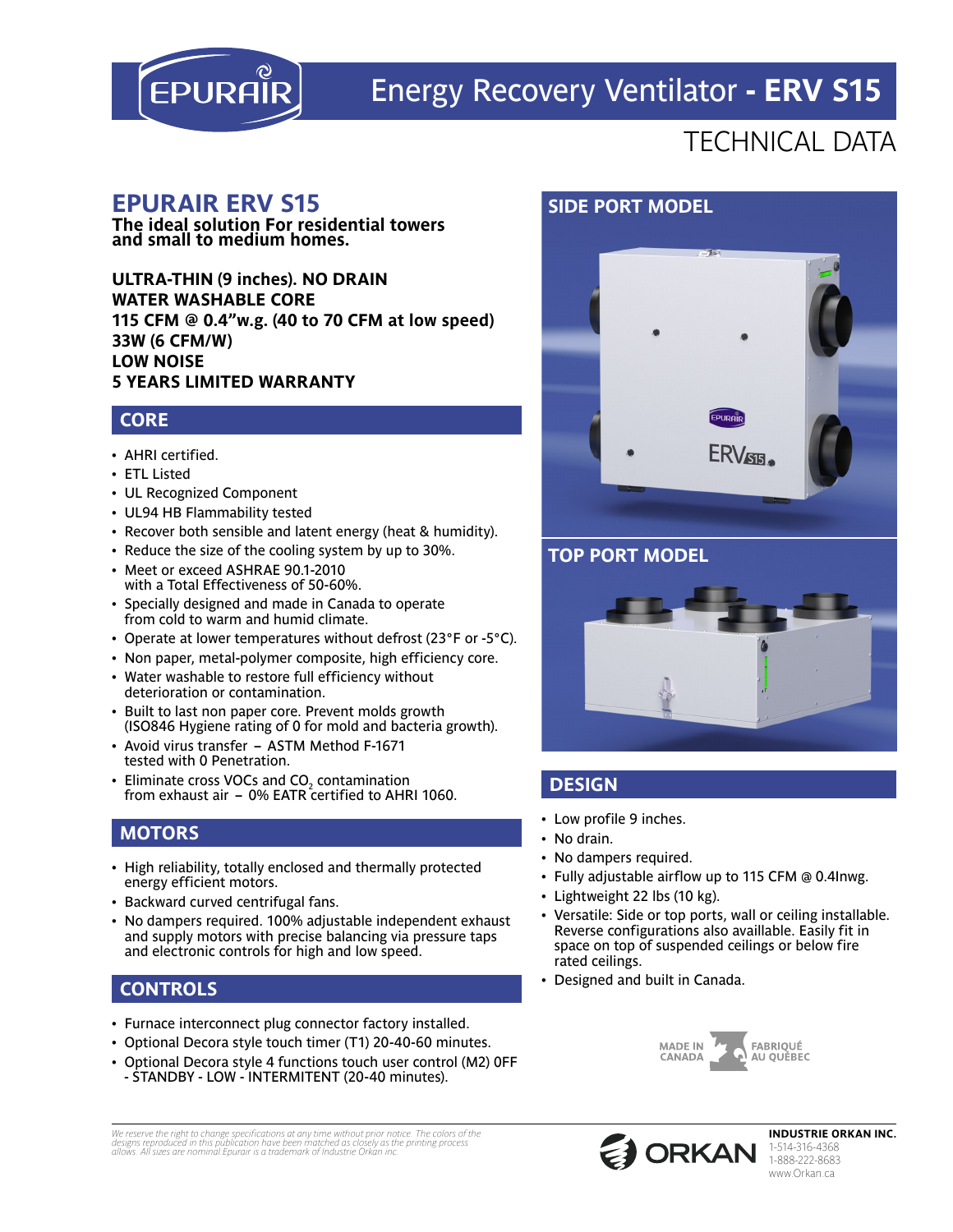

# Energy Recovery Ventilator **- ERV S15**

## **TECHNICAL DATA**

#### **EPURAIR ERV S15**

**The ideal solution For residential towers and small to medium homes.**

**ULTRA-THIN (9 inches). NO DRAIN WATER WASHABLE CORE 115 CFM @ 0.4"w.g. (40 to 70 CFM at low speed) 33W (6 CFM/W) LOW NOISE 5 YEARS LIMITED WARRANTY**

#### **CORE**

- AHRI certified.
- ETL Listed
- UL Recognized Component
- UL94 HB Flammability tested
- Recover both sensible and latent energy (heat & humidity).
- Reduce the size of the cooling system by up to 30%.
- Meet or exceed ASHRAE 90.1-2010 with a Total Effectiveness of 50-60%.
- Specially designed and made in Canada to operate from cold to warm and humid climate.
- Operate at lower temperatures without defrost (23°F or -5°C).
- Non paper, metal-polymer composite, high efficiency core.
- Water washable to restore full efficiency without deterioration or contamination.
- Built to last non paper core. Prevent molds growth (ISO846 Hygiene rating of 0 for mold and bacteria growth).
- Avoid virus transfer ASTM Method F-1671 tested with 0 Penetration.
- Eliminate cross VOCs and  $CO<sub>2</sub>$  contamination from exhaust air  $-0\%$  EATR certified to AHRI 1060.

#### **MOTORS**

- High reliability, totally enclosed and thermally protected energy efficient motors.
- Backward curved centrifugal fans.
- No dampers required. 100% adjustable independent exhaust and supply motors with precise balancing via pressure taps and electronic controls for high and low speed.

**WARM GRAY 3**

#### **CONTROLS**

- Furnace interconnect plug connector factory installed.
- Optional Decora style touch timer (T1) 20-40-60 minutes.
- Optional Decora style 4 functions touch user control (M2) 0FF - STANDBY - LOW - INTERMITENT (20-40 minutes).

*We reserve the right to change specifications at any time without prior notice. The colors of the designs reproduced in this publication have been matched as closely as the printing process allows. All sizes are nominal.Epurair is a trademark of Industrie Orkan inc.*

#### **SIDE PORT MODEL**



#### **TOP PORT MODEL**



### **DESIGN**

- Low profile 9 inches.
- No drain.
- No dampers required.
- Fully adjustable airflow up to 115 CFM @ 0.4Inwg.
- Lightweight 22 lbs (10 kg).
- **In independent exhaust** Versatile: Side or top ports, wall or ceiling installable. Reverse configurations also availlable. Easily fit in space on top of suspended ceilings or below fire rated ceilings.
	- Designed and built in Canada.



**INDUSTRIE ORKAN INC.**

1-514-316-4368 1-888-222-8683 www.Orkan.ca